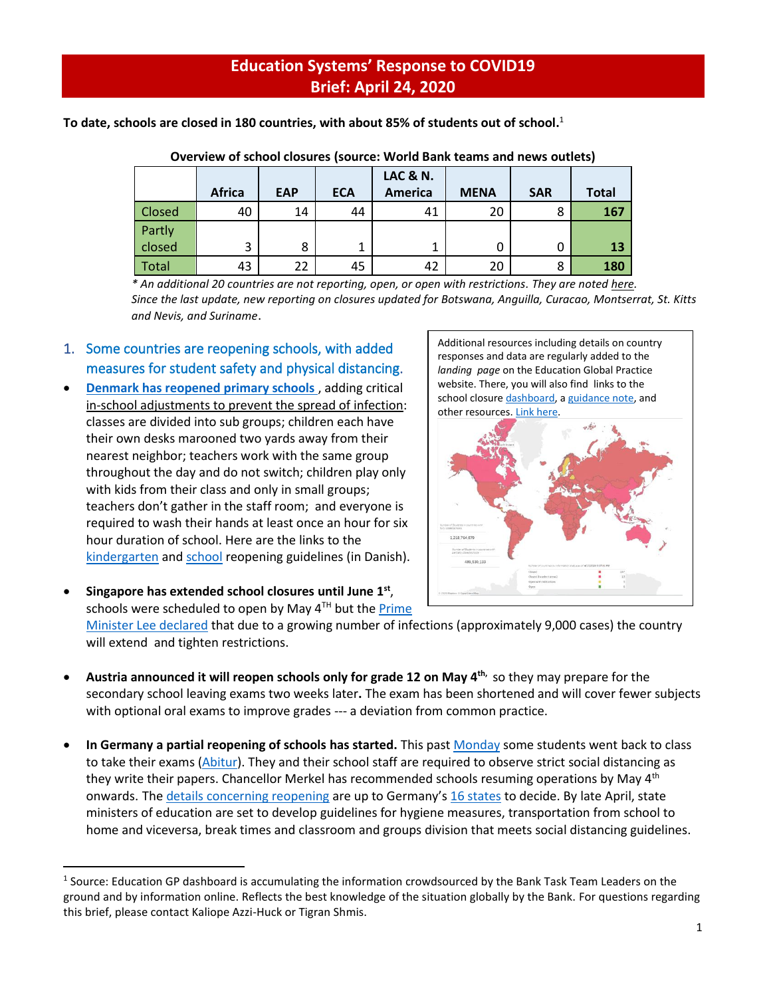## **Education Systems' Response to COVID19 Brief: April 24, 2020**

**To date, schools are closed in 180 countries, with about 85% of students out of school.** 1

|               |               |            |            | <b>LAC &amp; N.</b> |             |            |              |
|---------------|---------------|------------|------------|---------------------|-------------|------------|--------------|
|               | <b>Africa</b> | <b>EAP</b> | <b>ECA</b> | <b>America</b>      | <b>MENA</b> | <b>SAR</b> | <b>Total</b> |
| <b>Closed</b> | 40            | 14         | 44         | 41                  | 20          | 8          | 167          |
| Partly        |               |            |            |                     |             |            |              |
| closed        | 3             | 8          | 1          |                     |             | U          | 13           |
| Total         | 43            | 22         | 45         | 42                  | 20          | 8          | 180          |

| Overview of school closures (source: World Bank teams and news outlets) |  |  |  |  |
|-------------------------------------------------------------------------|--|--|--|--|
|                                                                         |  |  |  |  |

*\* An additional 20 countries are not reporting, open, or open with restrictions. They are noted [here.](https://www.worldbank.org/en/data/interactive/2020/03/24/world-bank-education-and-covid-19) Since the last update, new reporting on closures updated for Botswana, Anguilla, Curacao, Montserrat, St. Kitts and Nevis, and Suriname*.

- 1. Some countries are reopening schools, with added measures for student safety and physical distancing.
- **[Denmark has reopened primary schools](https://www.nytimes.com/2020/04/17/world/europe/denmark-schools-coronavirus.html)** , adding critical in-school adjustments to prevent the spread of infection: classes are divided into sub groups; children each have their own desks marooned two yards away from their nearest neighbor; teachers work with the same group throughout the day and do not switch; children play only with kids from their class and only in small groups; teachers don't gather in the staff room; and everyone is required to wash their hands at least once an hour for six hour duration of school. Here are the links to the [kindergarten](https://bit.ly/2XMDJeL) and [school](https://bit.ly/2VCgKQI) reopening guidelines (in Danish).

Additional resources including details on country responses and data are regularly added to the *landing page* on the Education Global Practice website. There, you will also find links to the school closure [dashboard,](https://www.worldbank.org/en/data/interactive/2020/03/24/world-bank-education-and-covid-19) [a guidance note,](http://pubdocs.worldbank.org/en/450881585235950757/COVID19-Education-Sector-Guidance-Note-March26.pdf) and [other resources](https://worldbankgroup.sharepoint.com/sites/Education/Pages/Education-COVID19.aspx)[. Link here.](https://www.worldbank.org/en/data/interactive/2020/03/24/world-bank-education-and-covid-19)



• **Singapore has extended school closures until June 1st** , schools were scheduled to open by May  $4<sup>TH</sup>$  but the Prime [Minister Lee declared](https://www.theguardian.com/world/2020/apr/21/singapore-coronavirus-outbreak-surges-with-3000-new-cases-in-three-days) that due to a growing number of infections (approximately 9,000 cases) the country will extend and tighten restrictions.

- **Austria announced it will reopen schools only for grade 12 on May 4th,** so they may prepare for the secondary school leaving exams two weeks later**.** The exam has been shortened and will cover fewer subjects with optional oral exams to improve grades --- a deviation from common practice.
- **In Germany a partial reopening of schools has started.** This past [Monday](https://www.reuters.com/article/us-health-coronavirus-germany-students/back-in-the-classroom-open-your-books-germany-cautiously-reopens-schools-idUSKBN2221TH) some students went back to class to take their exams [\(Abitur\)](https://www.thelocal.de/20200422/state-by-state-when-will-germanys-schools-open-again). They and their school staff are required to observe strict social distancing as they write their papers. Chancellor Merkel has recommended schools resuming operations by May 4<sup>th</sup> onwards. The [details concerning reopening](https://www.reuters.com/article/us-health-coronavirus-germany-students/back-in-the-classroom-open-your-books-germany-cautiously-reopens-schools-idUSKBN2221TH) are up to Germany's [16 states](https://www.thelocal.de/20200422/state-by-state-when-will-germanys-schools-open-again) to decide. By late April, state ministers of education are set to develop guidelines for hygiene measures, transportation from school to home and viceversa, break times and classroom and groups division that meets social distancing guidelines.

<sup>&</sup>lt;sup>1</sup> Source: Education GP dashboard is accumulating the information crowdsourced by the Bank Task Team Leaders on the ground and by information online. Reflects the best knowledge of the situation globally by the Bank. For questions regarding this brief, please contact Kaliope Azzi-Huck or Tigran Shmis.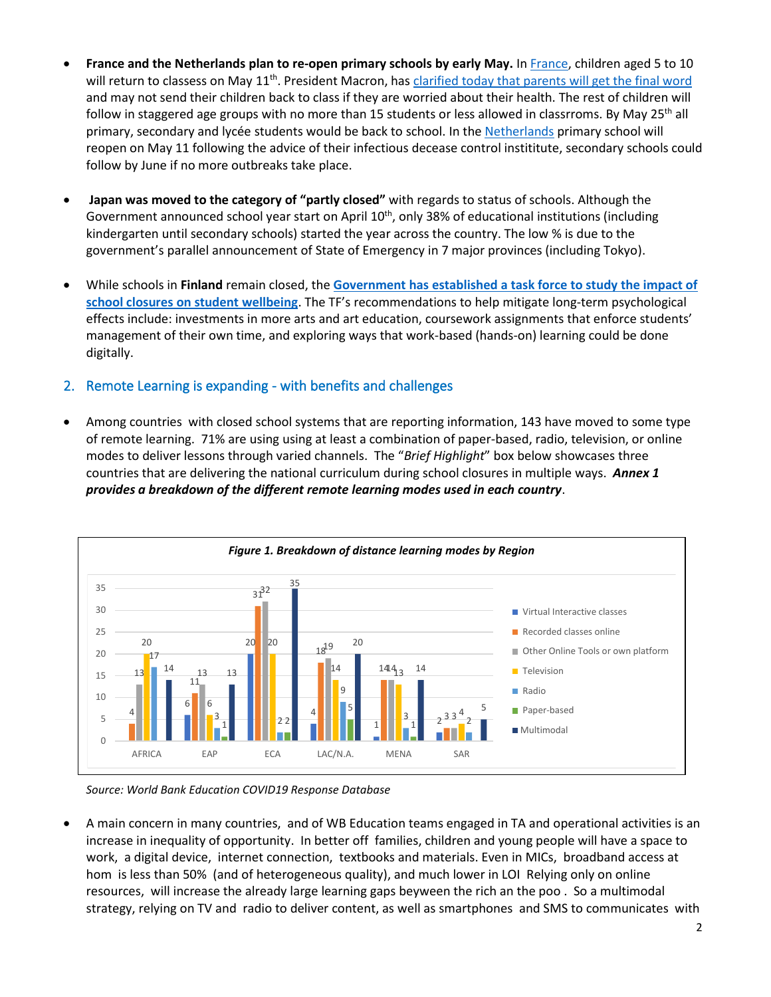- **France and the Netherlands plan to re-open primary schools by early May.** In [France,](https://www.theguardian.com/world/2020/apr/21/lockdown-eased-netherlands-and-france-plan-to-re-open-primary-schools) children aged 5 to 10 will return to classess on May 11<sup>th</sup>. President Macron, has *clarified today that parents will get the final word* and may not send their children back to class if they are worried about their health. The rest of children will follow in staggered age groups with no more than 15 students or less allowed in classrroms. By May 25<sup>th</sup> all primary, secondary and lycée students would be back to school. In the [Netherlands](https://www.theguardian.com/world/2020/apr/21/lockdown-eased-netherlands-and-france-plan-to-re-open-primary-schools) primary school will reopen on May 11 following the advice of their infectious decease control instititute, secondary schools could follow by June if no more outbreaks take place.
- **Japan was moved to the category of "partly closed"** with regards to status of schools. Although the Government announced school year start on April 10<sup>th</sup>, only 38% of educational institutions (including kindergarten until secondary schools) started the year across the country. The low % is due to the government's parallel announcement of State of Emergency in 7 major provinces (including Tokyo).
- While schools in **Finland** remain closed, the **[Government has established a task force to study the impact of](http://ncee.org/what-we-do/center-on-international-education-benchmarking/round-up/)  [school closures on student wellbeing](http://ncee.org/what-we-do/center-on-international-education-benchmarking/round-up/)**. The TF's recommendations to help mitigate long-term psychological effects include: investments in more arts and art education, coursework assignments that enforce students' management of their own time, and exploring ways that work-based (hands-on) learning could be done digitally.
- 2. Remote Learning is expanding with benefits and challenges
- Among countries with closed school systems that are reporting information, 143 have moved to some type of remote learning. 71% are using using at least a combination of paper-based, radio, television, or online modes to deliver lessons through varied channels. The "*Brief Highlight*" box below showcases three countries that are delivering the national curriculum during school closures in multiple ways. *Annex 1 provides a breakdown of the different remote learning modes used in each country*.



*Source: World Bank Education COVID19 Response Database*

• A main concern in many countries, and of WB Education teams engaged in TA and operational activities is an increase in inequality of opportunity. In better off families, children and young people will have a space to work, a digital device, internet connection, textbooks and materials. Even in MICs, broadband access at hom is less than 50% (and of heterogeneous quality), and much lower in LOI Relying only on online resources, will increase the already large learning gaps beyween the rich an the poo . So a multimodal strategy, relying on TV and radio to deliver content, as well as smartphones and SMS to communicates with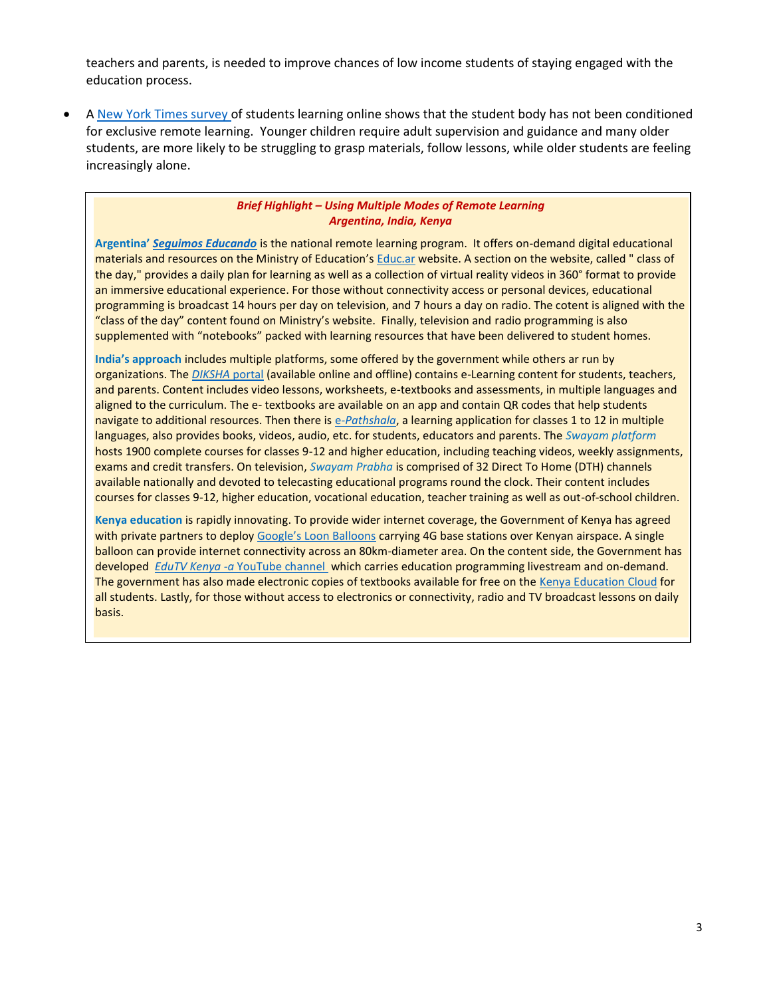teachers and parents, is needed to improve chances of low income students of staying engaged with the education process.

A [New York Times survey](https://www.nytimes.com/2020/03/30/learning/has-your-school-switched-to-remote-learning-how-is-it-going-so-far.html) of students learning online shows that the student body has not been conditioned for exclusive remote learning. Younger children require adult supervision and guidance and many older students, are more likely to be struggling to grasp materials, follow lessons, while older students are feeling increasingly alone.

## *Brief Highlight – Using Multiple Modes of Remote Learning Argentina, India, Kenya*

**Argentina'** *[Seguimos Educando](https://www.argentina.gob.ar/noticias/se-suman-contenidos-seguimos-educando)* is the national remote learning program. It offers on-demand digital educational materials and resources on the Ministry of Education's [Educ.ar](https://www.educ.ar/) website. A section on the website, called " class of the day," provides a daily plan for learning as well as a collection of virtual reality videos in 360° format to provide an immersive educational experience. For those without connectivity access or personal devices, educational programming is broadcast 14 hours per day on television, and 7 hours a day on radio. The cotent is aligned with the "class of the day" content found on Ministry's website. Finally, television and radio programming is also supplemented with "notebooks" packed with learning resources that have been delivered to student homes.

**India's approach** includes multiple platforms, some offered by the government while others ar run by organizations. The *[DIKSHA](https://diksha.gov.in/help/getting-started/sign-in/)* portal (available online and offline) contains e-Learning content for students, teachers, and parents. Content includes video lessons, worksheets, e-textbooks and assessments, in multiple languages and aligned to the curriculum. The e- textbooks are available on an app and contain QR codes that help students navigate to additional resources. Then there is *e[-Pathshala](http://epathshala.nic.in/)*, a learning application for classes 1 to 12 in multiple languages, also provides books, videos, audio, etc. for students, educators and parents. The *Swayam platform*  hosts 1900 complete courses for classes 9-12 and higher education, including teaching videos, weekly assignments, exams and credit transfers. On television, *Swayam Prabha* is comprised of 32 Direct To Home (DTH) channels available nationally and devoted to telecasting educational programs round the clock. Their content includes courses for classes 9-12, higher education, vocational education, teacher training as well as out-of-school children.

**Kenya education** is rapidly innovating. To provide wider internet coverage, the Government of Kenya has agreed with private partners to deploy [Google's Loon Balloons](https://www.nation.co.ke/news/Google-Loon-Balloons-airborne-in-Kenyan-space/1056-5513162-unc58cz/index.html) carrying 4G base stations over Kenyan airspace. A single balloon can provide internet connectivity across an 80km-diameter area. On the content side, the Government has developed *EduTV Kenya -a* [YouTube channel](https://www.youtube.com/channel/UCByj0XrDmb0UDUui63EOnhA) which carries education programming livestream and on-demand. The government has also made electronic copies of textbooks available for free on th[e Kenya Education](https://kec.ac.ke/) Cloud for all students. Lastly, for those without access to electronics or connectivity, radio and TV broadcast lessons on daily basis.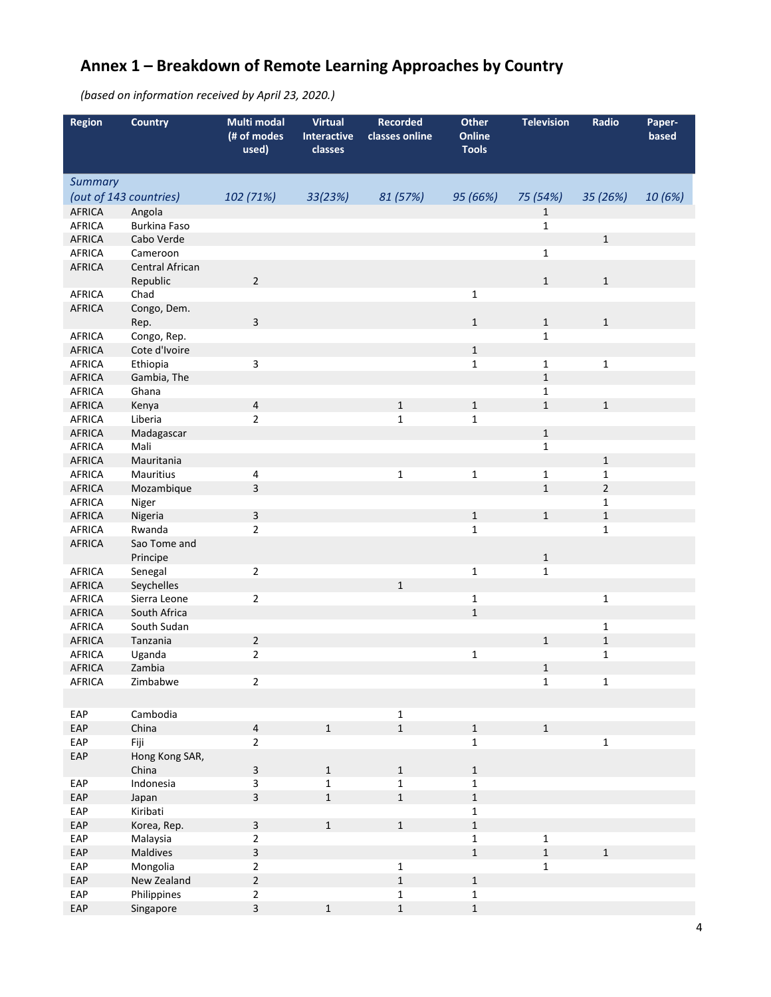## **Annex 1 – Breakdown of Remote Learning Approaches by Country**

*(based on information received by April 23, 2020.)*

| <b>Region</b>           | <b>Country</b>              | Multi modal<br>(# of modes<br>used) | <b>Virtual</b><br><b>Interactive</b><br>classes | <b>Recorded</b><br>classes online | <b>Other</b><br>Online<br><b>Tools</b> | <b>Television</b> | Radio                      | Paper-<br>based |
|-------------------------|-----------------------------|-------------------------------------|-------------------------------------------------|-----------------------------------|----------------------------------------|-------------------|----------------------------|-----------------|
| <b>Summary</b>          |                             |                                     |                                                 |                                   |                                        |                   |                            |                 |
|                         | (out of 143 countries)      | 102 (71%)                           | 33(23%)                                         | 81 (57%)                          | 95 (66%)                               | 75 (54%)          | 35 (26%)                   | 10 (6%)         |
| <b>AFRICA</b>           | Angola                      |                                     |                                                 |                                   |                                        | 1                 |                            |                 |
| <b>AFRICA</b>           | <b>Burkina Faso</b>         |                                     |                                                 |                                   |                                        | $\mathbf 1$       |                            |                 |
| <b>AFRICA</b>           | Cabo Verde                  |                                     |                                                 |                                   |                                        |                   | $\mathbf 1$                |                 |
| <b>AFRICA</b>           | Cameroon                    |                                     |                                                 |                                   |                                        | $\mathbf 1$       |                            |                 |
| <b>AFRICA</b>           | Central African<br>Republic | $\overline{2}$                      |                                                 |                                   |                                        | $\mathbf 1$       | $\mathbf 1$                |                 |
| AFRICA                  | Chad                        |                                     |                                                 |                                   | $\mathbf{1}$                           |                   |                            |                 |
| <b>AFRICA</b>           | Congo, Dem.                 |                                     |                                                 |                                   |                                        |                   |                            |                 |
|                         | Rep.                        | 3                                   |                                                 |                                   | $1\,$                                  | $\mathbf{1}$      | $1\,$                      |                 |
| <b>AFRICA</b>           | Congo, Rep.                 |                                     |                                                 |                                   |                                        | $\mathbf{1}$      |                            |                 |
| <b>AFRICA</b>           | Cote d'Ivoire               |                                     |                                                 |                                   | $\mathbf 1$                            |                   |                            |                 |
| AFRICA                  | Ethiopia                    | $\overline{\mathbf{3}}$             |                                                 |                                   | $\mathbf{1}$                           | $\mathbf 1$       | $\mathbf{1}$               |                 |
| <b>AFRICA</b>           | Gambia, The                 |                                     |                                                 |                                   |                                        | $\mathbf{1}$      |                            |                 |
| <b>AFRICA</b>           | Ghana                       |                                     |                                                 |                                   |                                        | $\mathbf{1}$      |                            |                 |
| <b>AFRICA</b>           | Kenya                       | $\overline{a}$                      |                                                 | $\mathbf 1$                       | $\mathbf 1$                            | $\mathbf{1}$      | $\mathbf 1$                |                 |
| <b>AFRICA</b>           | Liberia                     | $\overline{2}$                      |                                                 | $\mathbf{1}$                      | $\mathbf{1}$                           |                   |                            |                 |
| <b>AFRICA</b>           | Madagascar                  |                                     |                                                 |                                   |                                        | $\mathbf 1$       |                            |                 |
| <b>AFRICA</b>           | Mali                        |                                     |                                                 |                                   |                                        | $\mathbf{1}$      |                            |                 |
| <b>AFRICA</b>           | Mauritania                  |                                     |                                                 |                                   |                                        |                   | $1\,$                      |                 |
| <b>AFRICA</b>           | Mauritius                   | 4                                   |                                                 | $\mathbf{1}$                      | $\mathbf{1}$                           | $\mathbf{1}$      | $\mathbf{1}$               |                 |
| <b>AFRICA</b>           | Mozambique                  | 3                                   |                                                 |                                   |                                        | $\mathbf{1}$      | $\overline{2}$             |                 |
| <b>AFRICA</b>           | Niger                       |                                     |                                                 |                                   |                                        |                   | 1                          |                 |
| <b>AFRICA</b>           | Nigeria                     | 3                                   |                                                 |                                   | $\mathbf 1$                            | $\mathbf{1}$      | $\mathbf 1$                |                 |
| <b>AFRICA</b>           | Rwanda                      | $\overline{2}$                      |                                                 |                                   | $\mathbf{1}$                           |                   | $\mathbf{1}$               |                 |
| <b>AFRICA</b>           | Sao Tome and                |                                     |                                                 |                                   |                                        |                   |                            |                 |
|                         | Principe                    |                                     |                                                 |                                   |                                        | $\mathbf 1$       |                            |                 |
| <b>AFRICA</b>           | Senegal                     | $\overline{2}$                      |                                                 |                                   | $\mathbf{1}$                           | $\mathbf{1}$      |                            |                 |
| <b>AFRICA</b>           | Seychelles                  |                                     |                                                 | $\mathbf{1}$                      |                                        |                   |                            |                 |
| <b>AFRICA</b>           | Sierra Leone                | $\overline{2}$                      |                                                 |                                   | $\mathbf 1$                            |                   | $\mathbf{1}$               |                 |
| <b>AFRICA</b>           | South Africa                |                                     |                                                 |                                   | $\mathbf{1}$                           |                   |                            |                 |
| <b>AFRICA</b>           | South Sudan<br>Tanzania     | $\sqrt{2}$                          |                                                 |                                   |                                        | $\mathbf{1}$      | 1                          |                 |
| AFRICA<br><b>AFRICA</b> | Uganda                      | $\overline{2}$                      |                                                 |                                   | $\mathbf 1$                            |                   | $\mathbf 1$<br>$\mathbf 1$ |                 |
| <b>AFRICA</b>           | Zambia                      |                                     |                                                 |                                   |                                        | $\mathbf{1}$      |                            |                 |
| AFRICA                  | Zimbabwe                    | $\overline{2}$                      |                                                 |                                   |                                        | $\mathbf 1$       | $\mathbf 1$                |                 |
|                         |                             |                                     |                                                 |                                   |                                        |                   |                            |                 |
|                         |                             |                                     |                                                 |                                   |                                        |                   |                            |                 |
| EAP                     | Cambodia                    |                                     |                                                 | $\mathbf 1$                       |                                        |                   |                            |                 |
| EAP                     | China                       | $\overline{4}$                      | $\mathbf 1$                                     | $\mathbf 1$                       | $\mathbf 1$                            | $\mathbf 1$       |                            |                 |
| EAP                     | Fiji                        | $\overline{2}$                      |                                                 |                                   | $\mathbf 1$                            |                   | $\mathbf 1$                |                 |
| EAP                     | Hong Kong SAR,              |                                     |                                                 |                                   |                                        |                   |                            |                 |
|                         | China                       | 3                                   | $\mathbf{1}$                                    | $\mathbf{1}$                      | $\mathbf{1}$                           |                   |                            |                 |
| EAP                     | Indonesia                   | 3                                   | $\mathbf{1}$                                    | $\mathbf 1$                       | $\mathbf 1$                            |                   |                            |                 |
| EAP<br>EAP              | Japan<br>Kiribati           | 3                                   | $\mathbf{1}$                                    | $\mathbf 1$                       | $\mathbf 1$                            |                   |                            |                 |
|                         |                             |                                     |                                                 | $\mathbf{1}$                      | $\mathbf 1$<br>$\mathbf 1$             |                   |                            |                 |
| EAP<br>EAP              | Korea, Rep.<br>Malaysia     | $\mathsf{3}$<br>$\overline{2}$      | $1\,$                                           |                                   | $\mathbf{1}$                           | $\mathbf{1}$      |                            |                 |
| EAP                     | Maldives                    | $\overline{\mathbf{3}}$             |                                                 |                                   | $\mathbf{1}$                           | $\mathbf 1$       | $\mathbf 1$                |                 |
| EAP                     | Mongolia                    | $\overline{2}$                      |                                                 | $\mathbf 1$                       |                                        | $\mathbf{1}$      |                            |                 |
| EAP                     | New Zealand                 | $\overline{2}$                      |                                                 | $\mathbf 1$                       | $\mathbf 1$                            |                   |                            |                 |
| EAP                     | Philippines                 | $\overline{2}$                      |                                                 | $\mathbf 1$                       | $\mathbf 1$                            |                   |                            |                 |
| EAP                     | Singapore                   | 3                                   | $\mathbf{1}$                                    | $\mathbf 1$                       | $\mathbf 1$                            |                   |                            |                 |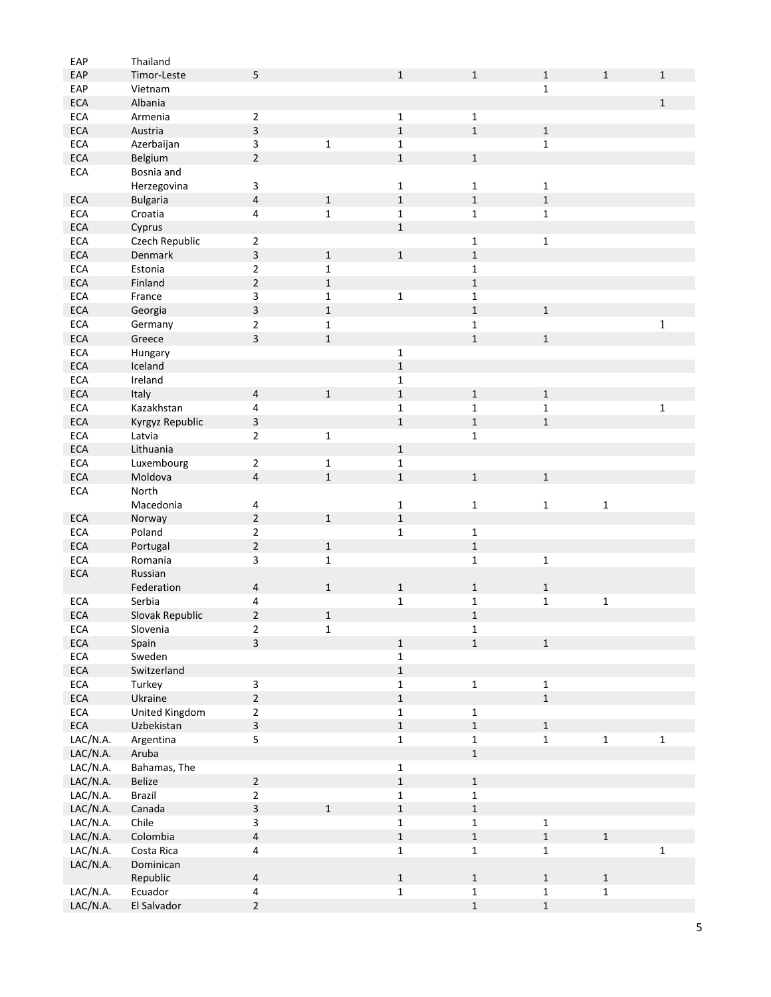| EAP        | Thailand               |                         |              |              |              |              |              |              |
|------------|------------------------|-------------------------|--------------|--------------|--------------|--------------|--------------|--------------|
| EAP        | Timor-Leste            | 5                       |              | $\mathbf{1}$ | $\mathbf{1}$ | $\mathbf{1}$ | $\mathbf{1}$ | $\mathbf{1}$ |
| EAP        | Vietnam                |                         |              |              |              | 1            |              |              |
| <b>ECA</b> | Albania                |                         |              |              |              |              |              | $\mathbf{1}$ |
| <b>ECA</b> | Armenia                | $\overline{2}$          |              | $\mathbf 1$  | $\mathbf{1}$ |              |              |              |
|            |                        |                         |              | $\mathbf 1$  | $\mathbf 1$  |              |              |              |
| <b>ECA</b> | Austria                | 3                       |              |              |              | $\mathbf 1$  |              |              |
| <b>ECA</b> | Azerbaijan             | 3                       | $\mathbf 1$  | $\mathbf 1$  |              | $\mathbf{1}$ |              |              |
| <b>ECA</b> | Belgium                | $\overline{2}$          |              | $\mathbf{1}$ | $\mathbf 1$  |              |              |              |
| <b>ECA</b> | Bosnia and             |                         |              |              |              |              |              |              |
|            | Herzegovina            | 3                       |              | $\mathbf{1}$ | $\mathbf 1$  | $\mathbf 1$  |              |              |
| <b>ECA</b> | <b>Bulgaria</b>        | $\overline{\mathbf{4}}$ | $\mathbf 1$  | $\mathbf 1$  | $\mathbf 1$  | $\mathbf 1$  |              |              |
| <b>ECA</b> | Croatia                | 4                       | $\mathbf 1$  | $\mathbf 1$  | $\mathbf 1$  | $\mathbf{1}$ |              |              |
| <b>ECA</b> | Cyprus                 |                         |              | $\mathbf 1$  |              |              |              |              |
| <b>ECA</b> | Czech Republic         |                         |              |              |              | $\mathbf{1}$ |              |              |
|            |                        | $\overline{2}$          |              |              | $\mathbf 1$  |              |              |              |
| <b>ECA</b> | Denmark                | 3                       | $\mathbf{1}$ | $\mathbf 1$  | $\mathbf 1$  |              |              |              |
| <b>ECA</b> | Estonia                | $\overline{2}$          | $\mathbf{1}$ |              | $\mathbf 1$  |              |              |              |
| <b>ECA</b> | Finland                | $\overline{2}$          | $\mathbf 1$  |              | $\mathbf 1$  |              |              |              |
| <b>ECA</b> | France                 | 3                       | $\mathbf{1}$ | $\mathbf 1$  | $\mathbf 1$  |              |              |              |
| <b>ECA</b> | Georgia                | 3                       | $\mathbf{1}$ |              | $\mathbf{1}$ | $\mathbf 1$  |              |              |
| <b>ECA</b> | Germany                | 2                       | $\mathbf 1$  |              | $\mathbf 1$  |              |              | $\mathbf{1}$ |
| <b>ECA</b> | Greece                 | 3                       | $\mathbf{1}$ |              | $\mathbf{1}$ | $\mathbf{1}$ |              |              |
|            |                        |                         |              |              |              |              |              |              |
| <b>ECA</b> | Hungary                |                         |              | $\mathbf 1$  |              |              |              |              |
| <b>ECA</b> | Iceland                |                         |              | $\mathbf 1$  |              |              |              |              |
| <b>ECA</b> | Ireland                |                         |              | $\mathbf 1$  |              |              |              |              |
| <b>ECA</b> | Italy                  | 4                       | $\mathbf 1$  | $\mathbf 1$  | $\mathbf 1$  | $\mathbf 1$  |              |              |
| <b>ECA</b> | Kazakhstan             | 4                       |              | $\mathbf{1}$ | $\mathbf{1}$ | $\mathbf{1}$ |              | $\mathbf 1$  |
| <b>ECA</b> | Kyrgyz Republic        | 3                       |              | $\mathbf 1$  | $\mathbf 1$  | $\mathbf{1}$ |              |              |
| <b>ECA</b> | Latvia                 | $\overline{2}$          | $\mathbf 1$  |              | $\mathbf 1$  |              |              |              |
| <b>ECA</b> | Lithuania              |                         |              | $\mathbf 1$  |              |              |              |              |
| <b>ECA</b> |                        | $\mathbf 2$             |              |              |              |              |              |              |
|            | Luxembourg             |                         | $\mathbf 1$  | $\mathbf{1}$ |              |              |              |              |
| <b>ECA</b> | Moldova                | $\overline{\mathbf{4}}$ | $\mathbf 1$  | $\mathbf 1$  | $1\,$        | $\mathbf 1$  |              |              |
| <b>ECA</b> | North                  |                         |              |              |              |              |              |              |
|            | Macedonia              |                         |              |              |              |              |              |              |
|            |                        | 4                       |              | $\mathbf 1$  | $\mathbf 1$  | $\mathbf{1}$ | $\mathbf 1$  |              |
| <b>ECA</b> | Norway                 | $\overline{2}$          | $\mathbf{1}$ | $\mathbf 1$  |              |              |              |              |
| <b>ECA</b> | Poland                 |                         |              | $\mathbf 1$  |              |              |              |              |
|            |                        | $\mathbf 2$             |              |              | $\mathbf 1$  |              |              |              |
| <b>ECA</b> | Portugal               | $\overline{2}$          | $\mathbf 1$  |              | $\mathbf 1$  |              |              |              |
| <b>ECA</b> | Romania                | 3                       | $\mathbf{1}$ |              | $\mathbf 1$  | $\mathbf 1$  |              |              |
| <b>ECA</b> | Russian                |                         |              |              |              |              |              |              |
|            | Federation             | 4                       | $\mathbf{1}$ | $\mathbf 1$  | $\mathbf{1}$ | $\mathbf{1}$ |              |              |
| <b>ECA</b> | Serbia                 | 4                       |              | $\mathbf 1$  | $\mathbf 1$  | $\mathbf 1$  | $\mathbf 1$  |              |
| <b>ECA</b> | Slovak Republic        | $\overline{c}$          | $\mathbf 1$  |              | $\mathbf 1$  |              |              |              |
| ECA        | Slovenia               | $\overline{c}$          | $\mathbf 1$  |              | $\mathbf 1$  |              |              |              |
| ECA        | Spain                  | $\overline{3}$          |              | $\mathbf 1$  | $\mathbf 1$  | $\mathbf 1$  |              |              |
|            |                        |                         |              |              |              |              |              |              |
| ECA        | Sweden                 |                         |              | $\mathbf{1}$ |              |              |              |              |
| $\sf ECA$  | Switzerland            |                         |              | $\mathbf 1$  |              |              |              |              |
| ECA        | Turkey                 | $\mathsf{3}$            |              | $\mathbf 1$  | $\mathbf 1$  | $\mathbf 1$  |              |              |
| ECA        | Ukraine                | $\overline{2}$          |              | $\mathbf 1$  |              | $\mathbf{1}$ |              |              |
| ECA        | United Kingdom         | $\mathbf{2}$            |              | $\mathbf 1$  | $\mathbf 1$  |              |              |              |
| ECA        | Uzbekistan             | $\mathbf{3}$            |              | $\mathbf 1$  | $\mathbf 1$  | $\mathbf 1$  |              |              |
| LAC/N.A.   | Argentina              | 5                       |              | $\mathbf 1$  | $\mathbf 1$  | $\mathbf 1$  | $\mathbf{1}$ | $\mathbf{1}$ |
| LAC/N.A.   | Aruba                  |                         |              |              | $\mathbf 1$  |              |              |              |
| LAC/N.A.   | Bahamas, The           |                         |              | $\mathbf 1$  |              |              |              |              |
|            | Belize                 |                         |              | $\mathbf 1$  |              |              |              |              |
| LAC/N.A.   |                        | $\overline{2}$          |              |              | $\mathbf 1$  |              |              |              |
| LAC/N.A.   | Brazil                 | $\overline{2}$          |              | $\mathbf 1$  | $\mathbf 1$  |              |              |              |
| LAC/N.A.   | Canada                 | 3                       | $\mathbf 1$  | $\mathbf 1$  | $\mathbf 1$  |              |              |              |
| LAC/N.A.   | Chile                  | 3                       |              | $\mathbf{1}$ | $\mathbf 1$  | $\mathbf{1}$ |              |              |
| LAC/N.A.   | Colombia               | $\overline{\mathbf{4}}$ |              | $\mathbf 1$  | $\mathbf 1$  | $\mathbf 1$  | $\mathbf{1}$ |              |
| LAC/N.A.   | Costa Rica             | 4                       |              | $\mathbf 1$  | $\mathbf 1$  | $\mathbf 1$  |              | $\mathbf 1$  |
| LAC/N.A.   | Dominican              |                         |              |              |              |              |              |              |
|            | Republic               | $\overline{\mathbf{4}}$ |              | $\mathbf 1$  | $\mathbf 1$  | $\,1\,$      | $\mathbf{1}$ |              |
| LAC/N.A.   | Ecuador<br>El Salvador | 4                       |              | $\mathbf 1$  | $\mathbf 1$  | $\mathbf 1$  | $\mathbf 1$  |              |